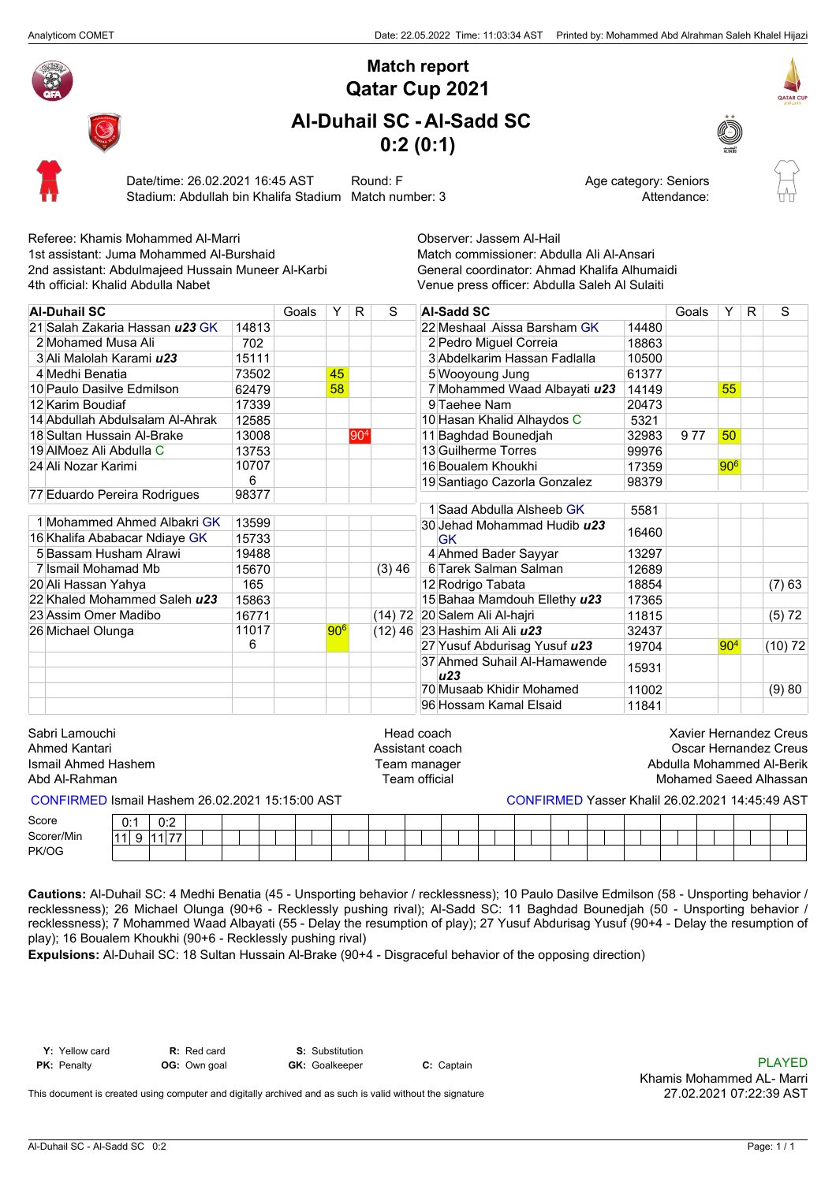

## **Qatar Cup 2021 Match report**

## **Al-Duhail SC - Al-Sadd SC 0:2 (0:1)**





Date/time: 26.02.2021 16:45 AST Round: F Age category: Seniors Stadium: Abdullah bin Khalifa Stadium Match number: 3 Attendance: Attendance:

| Referee: Khamis Mohammed Al-Marri                  |       |       |                 |         |                               | Observer: Jassem Al-Hail                      |       |                               |                 |    |                       |
|----------------------------------------------------|-------|-------|-----------------|---------|-------------------------------|-----------------------------------------------|-------|-------------------------------|-----------------|----|-----------------------|
| 1st assistant: Juma Mohammed Al-Burshaid           |       |       |                 |         |                               | Match commissioner: Abdulla Ali Al-Ansari     |       |                               |                 |    |                       |
| 2nd assistant: Abdulmajeed Hussain Muneer Al-Karbi |       |       |                 |         |                               | General coordinator: Ahmad Khalifa Alhumaidi  |       |                               |                 |    |                       |
| 4th official: Khalid Abdulla Nabet                 |       |       |                 |         |                               | Venue press officer: Abdulla Saleh Al Sulaiti |       |                               |                 |    |                       |
| <b>Al-Duhail SC</b>                                |       | Goals | Y               | R       | S                             | <b>Al-Sadd SC</b>                             |       | Goals                         | Y               | R. | S                     |
| 21 Salah Zakaria Hassan u23 GK                     | 14813 |       |                 |         |                               | 22 Meshaal Aissa Barsham GK                   | 14480 |                               |                 |    |                       |
| 2 Mohamed Musa Ali                                 | 702   |       |                 |         |                               | 2 Pedro Miguel Correia                        | 18863 |                               |                 |    |                       |
| 3 Ali Malolah Karami <i>u23</i>                    | 15111 |       |                 |         |                               | 3 Abdelkarim Hassan Fadlalla                  | 10500 |                               |                 |    |                       |
| 4 Medhi Benatia                                    | 73502 |       | 45              |         |                               | 5 Wooyoung Jung                               | 61377 |                               |                 |    |                       |
| 10 Paulo Dasilve Edmilson                          | 62479 |       | 58              |         |                               | 7 Mohammed Waad Albayati u23                  | 14149 |                               | 55              |    |                       |
| 12 Karim Boudiaf                                   | 17339 |       |                 |         |                               | 9 Taehee Nam                                  | 20473 |                               |                 |    |                       |
| 14 Abdullah Abdulsalam Al-Ahrak                    | 12585 |       |                 |         |                               | 10 Hasan Khalid Alhaydos C                    | 5321  |                               |                 |    |                       |
| 18 Sultan Hussain Al-Brake                         | 13008 |       |                 | $ 90^4$ |                               | 11 Baghdad Bounedjah                          | 32983 | 977                           | 50              |    |                       |
| 19 AIMoez Ali Abdulla C                            | 13753 |       |                 |         |                               | 13 Guilherme Torres                           | 99976 |                               |                 |    |                       |
| 24 Ali Nozar Karimi                                | 10707 |       |                 |         |                               | 16 Boualem Khoukhi                            | 17359 |                               | 906             |    |                       |
|                                                    | 6     |       |                 |         |                               | 19 Santiago Cazorla Gonzalez                  | 98379 |                               |                 |    |                       |
| 77 Eduardo Pereira Rodrigues                       | 98377 |       |                 |         |                               |                                               |       |                               |                 |    |                       |
|                                                    |       |       |                 |         |                               | 1 Saad Abdulla Alsheeb GK                     | 5581  |                               |                 |    |                       |
| 1 Mohammed Ahmed Albakri GK                        | 13599 |       |                 |         |                               | 30 Jehad Mohammad Hudib u23                   | 16460 |                               |                 |    |                       |
| 16 Khalifa Ababacar Ndiaye GK                      | 15733 |       |                 |         |                               | <b>GK</b>                                     |       |                               |                 |    |                       |
| 5 Bassam Husham Alrawi                             | 19488 |       |                 |         |                               | 4 Ahmed Bader Sayyar                          | 13297 |                               |                 |    |                       |
| 7 Ismail Mohamad Mb                                | 15670 |       |                 |         | $(3)$ 46                      | 6 Tarek Salman Salman                         | 12689 |                               |                 |    |                       |
| 20 Ali Hassan Yahya                                | 165   |       |                 |         |                               | 12 Rodrigo Tabata                             | 18854 |                               |                 |    | $(7)$ 63              |
| 22 Khaled Mohammed Saleh u23                       | 15863 |       |                 |         |                               | 15 Bahaa Mamdouh Ellethy u23                  | 17365 |                               |                 |    |                       |
| 23 Assim Omer Madibo                               | 16771 |       |                 |         |                               | (14) 72 20 Salem Ali Al-hajri                 | 11815 |                               |                 |    | (5) 72                |
| 26 Michael Olunga                                  | 11017 |       | 90 <sup>6</sup> |         |                               | (12) 46 23 Hashim Ali Ali u23                 | 32437 |                               |                 |    |                       |
|                                                    | 6     |       |                 |         |                               | 27 Yusuf Abdurisag Yusuf u23                  | 19704 |                               | 90 <sup>4</sup> |    | (10) 72               |
|                                                    |       |       |                 |         |                               | 37 Ahmed Suhail Al-Hamawende<br>u23           | 15931 |                               |                 |    |                       |
|                                                    |       |       |                 |         |                               | 70 Musaab Khidir Mohamed                      | 11002 |                               |                 |    | (9)80                 |
|                                                    |       |       |                 |         |                               | 96 Hossam Kamal Elsaid                        | 11841 |                               |                 |    |                       |
| Sabri Lamouchi<br>Ahmed Kantari                    |       |       |                 |         | Head coach<br>Assistant coach |                                               |       | <b>Xavier Hernandez Creus</b> |                 |    | Oscar Hernandez Creus |
| Ismail Ahmed Hashem                                |       |       |                 |         | Team manager                  |                                               |       | Abdulla Mohammed Al-Berik     |                 |    |                       |

Abd Al-Rahman **Mohamed Saeed Alhassan** Team official Team official Alhassan Mohamed Saeed Alhassan

CONFIRMED Ismail Hashem 26.02.2021 15:15:00 AST CONFIRMED Yasser Khalil 26.02.2021 14:45:49 AST

PK/OG 0:1  $11 \ 9$ 0:2 11 77 Score Scorer/Min

**Cautions:** Al-Duhail SC: 4 Medhi Benatia (45 - Unsporting behavior / recklessness); 10 Paulo Dasilve Edmilson (58 - Unsporting behavior / recklessness); 26 Michael Olunga (90+6 - Recklessly pushing rival); Al-Sadd SC: 11 Baghdad Bounedjah (50 - Unsporting behavior / recklessness); 7 Mohammed Waad Albayati (55 - Delay the resumption of play); 27 Yusuf Abdurisag Yusuf (90+4 - Delay the resumption of play); 16 Boualem Khoukhi (90+6 - Recklessly pushing rival)

**Expulsions:** Al-Duhail SC: 18 Sultan Hussain Al-Brake (90+4 - Disgraceful behavior of the opposing direction)

**Y:** Yellow card **R:** Red card **S:** Substitution

**PK:** Penalty **OG:** Own goal **GK:** Goalkeeper **C:** Captain **C:** Captain **C:** Captain **C:** Captain **C:** Captain **PLAYED** Khamis Mohammed AL- Marri 27.02.2021 07:22:39 AST

This document is created using computer and digitally archived and as such is valid without the signature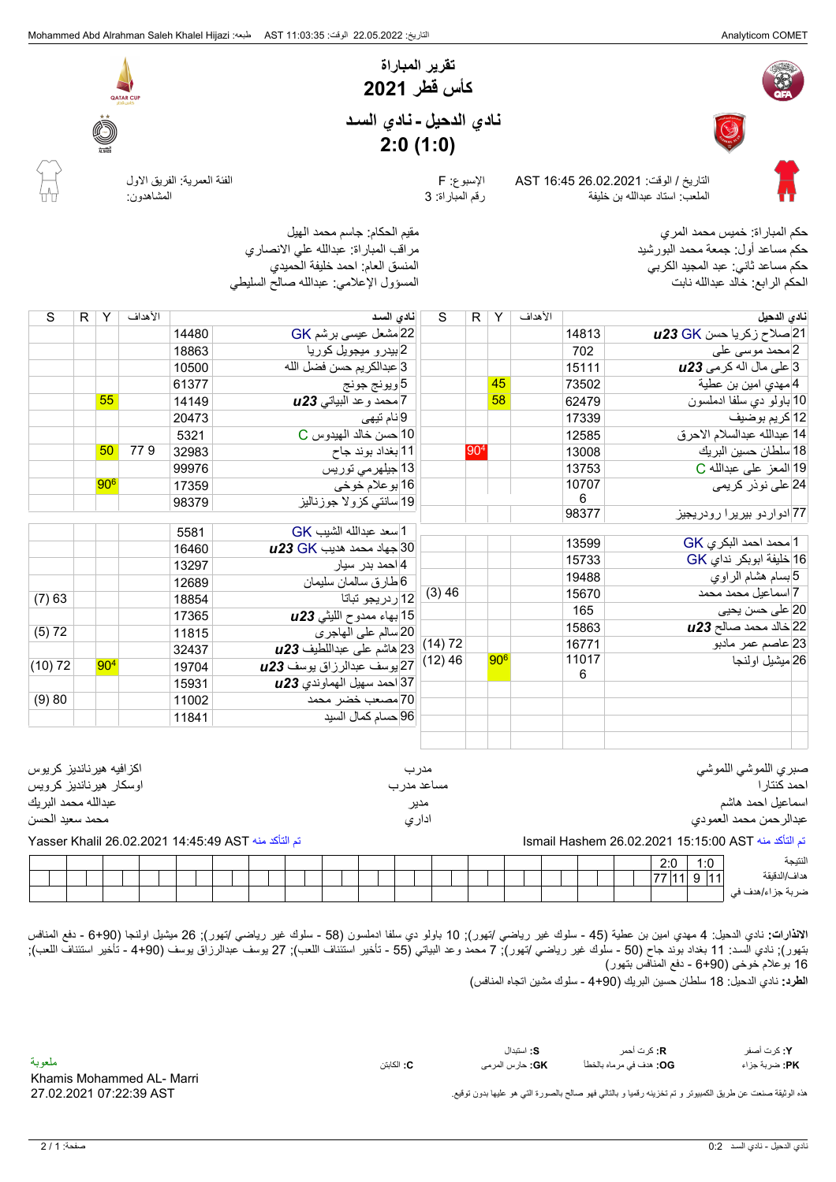



**نـّادي الدحيل ـ نـادي السـد**<br>2:**0 (1:0)**<br>التاريخ / الوقت: 26.02.2021 AST الإسبوع: F الإسبوع: F الإسبوع الملعب: استاد عبدالله بن خليفة رقم المباراة: 3 المشاهدون:

**كأس قطر 2021**

**تقرير المباراة**

**نادي الدحيل نادي السـد**

**2:0 (1:0)**



QATAR CU

حكم المباراة: خميس محمد المري مقيم الحكام: جاسم محمد الهيل حكم مساعد أول: جمعة محمد البورشيد مراقب المباراة: عبدالله علي الانصاري حكم مساعد ثاني: عبد المجيد الكربي الحكم الرابع: خالد عبدالله نابت المسؤول الإعلامي: عبدالله صالح السليطي

| S                                                  | R. | Y        | الأهداف |       | نادى السد                        | S           |     | R Y             | الأهداف |       | نادى الدحيل                          |
|----------------------------------------------------|----|----------|---------|-------|----------------------------------|-------------|-----|-----------------|---------|-------|--------------------------------------|
|                                                    |    |          |         | 14480 | 22 مشعل عيسى برشم GK             |             |     |                 |         | 14813 | 21 صلاح زکریا حسن <b>u23 GK</b>      |
|                                                    |    |          |         | 18863 | 2 بيدرو ميجويل كوريا             |             |     |                 |         | 702   | 2 محمد موسى على                      |
|                                                    |    |          |         | 10500 | 3 عبدالكريم حسن فضل الله         |             |     |                 |         | 15111 | 3 على مال اله كرمي 2 <b>3u</b>       |
|                                                    |    |          |         | 61377 | 5 ويونج جونج                     |             |     | 45              |         | 73502 | 4 مهدي امين بن عطية                  |
|                                                    |    | 55       |         | 14149 | 7 محمد وعد البياتي 123           |             |     | 58              |         | 62479 | 10 باولو دي سلفا ادملسون             |
|                                                    |    |          |         | 20473 | 9إنام تيهي                       |             |     |                 |         | 17339 | 12 كريم بوضيف                        |
|                                                    |    |          |         | 5321  | 10 حسن خالد الميدوس C            |             |     |                 |         | 12585 | 14 عبدالله عبدالسلام الاحرق          |
|                                                    |    | 50       | 779     | 32983 | 11 بغداد بوند جاح                |             | 904 |                 |         | 13008 | 18 سلطان حسين البريك                 |
|                                                    |    |          |         | 99976 | 13 جبلهرمی توریس                 |             |     |                 |         | 13753 | 19 المعز على عبدالله C               |
|                                                    |    | $ 90^6 $ |         | 17359 | 16 بوعلام خوخي                   |             |     |                 |         | 10707 | 24 على نوذر كري <i>مى</i>            |
|                                                    |    |          |         | 98379 | 19 سانتی کزولا جوزنالیز          |             |     |                 |         | 6     |                                      |
|                                                    |    |          |         |       |                                  |             |     |                 |         | 98377 | 77 ادوار دو بیریرا رودریجیز          |
|                                                    |    |          |         | 5581  | 1 سعد عبدالله الشيب GK           |             |     |                 |         |       |                                      |
|                                                    |    |          |         | 16460 | $\mu$ 23 GK جهاد محمد هديب       |             |     |                 |         | 13599 | 1  محمد احمد البكري GK               |
|                                                    |    |          |         | 13297 | 4 احمد بدر سيار                  |             |     |                 |         | 15733 | 16 خليفة ابوبكر نداي GK              |
|                                                    |    |          |         | 12689 | 6 طارق سالمان سليمان             |             |     |                 |         | 19488 | 5 بسام هشام الراوي                   |
| (7)63                                              |    |          |         | 18854 | 12 ر دريجو تباتا                 | (3)46       |     |                 |         | 15670 | 7 اسماعیل محمد محمد                  |
|                                                    |    |          |         | 17365 | 15 بهاء ممدوح الليثي 1 <b>23</b> |             |     |                 |         | 165   | 20 على حسن يحيى                      |
| (5) 72                                             |    |          |         | 11815 | 20 سالم على الهاجري              |             |     |                 |         | 15863 | 22 خالد محمد صالح 2 <b>3 U</b>       |
|                                                    |    |          |         | 32437 | 23 هاشم على عبداللطيف 23         | (14) 72     |     |                 |         | 16771 | 23 عاصم عمر مادبو                    |
| (10) 72                                            |    | $ 90^4 $ |         | 19704 | 27 يوسف عبدالرزاق يوسف 123       | $(12)$ 46   |     | 90 <sup>6</sup> |         | 11017 | 26 ميشيل اولنجا                      |
|                                                    |    |          |         | 15931 | 37 احمد سهيل الهماوندي 23 IJ     |             |     |                 |         | 6     |                                      |
| (9)80                                              |    |          |         | 11002 | 70 مصعب خضر محمد                 |             |     |                 |         |       |                                      |
|                                                    |    |          |         | 11841 | 96 حسام كمال السيد               |             |     |                 |         |       |                                      |
|                                                    |    |          |         |       |                                  |             |     |                 |         |       |                                      |
|                                                    |    |          |         |       |                                  |             |     |                 |         |       |                                      |
| اكز افيه هيرنانديز كريوس<br>اوسکار هیرناندیز کرویس |    |          |         |       |                                  | مدرب        |     |                 |         |       | صبري اللموشي اللموشي<br>احمد كنتار ا |
| عبدالله محمد البريك                                |    |          |         |       |                                  | مساعد مدر ب |     |                 |         |       | اسماعيل احمد هاشم                    |
|                                                    |    |          |         |       |                                  | مدير        |     |                 |         |       |                                      |

| اوسحار هيرنانديز حرويس | مساعد مدر ب | احمد ختنار             |
|------------------------|-------------|------------------------|
| عبدالله محمد البريك    | مدير        | اسماعيل احمد هاشم      |
| محمد سعيد الحسن        | ادارى       | عبدالرحمن محمد العمودي |
|                        |             |                        |

## تم التأكد منه AST 15:15:00 26.02.2021 Hashem Ismail تم التأكد منه AST 14:45:49 26.02.2021 Khalil Yasser

|  |  |  |  |  |  |  |  |  |  |  |  |  |  |  |  |  | 2:0 | 1:0 | الننبجة          |
|--|--|--|--|--|--|--|--|--|--|--|--|--|--|--|--|--|-----|-----|------------------|
|  |  |  |  |  |  |  |  |  |  |  |  |  |  |  |  |  |     |     | هداف/الدقيقة     |
|  |  |  |  |  |  |  |  |  |  |  |  |  |  |  |  |  |     |     | ضربة جزاء/هدف فى |

**الانذارات:** نادي الدحيل: 4 مهدي امين بن عطية (45 - سلوك غير رياضي /تهور); 10 باولو دي سلفا ادملسون (58 - سلوك غير رياضي /تهور); 26 ميشيل اولنجا (6+90 - دفع المنافس بتهور); نادي السـد: 11 بغداد بوند جاح (50 - سلوك غير رياضي /تهور); 7 محمد وعد البياتي (55 - تأخير استئناف اللعب); 27 يوسف عبدالرزاق يوسف (4+90 - تأخير استئناف اللعب); 16 بوعلام خوخى (6+90 - دفع المنافس بتهور)

**الطرد:** نادي الدحيل: 18 سلطان حسين البريك (4+90 - سلوك مشين اتجاه المنافس)

**PK:** ضربة جزاء **OG: GK:** حارس المرمى **C:** الكابتن هدف في مرماه بالخطأ ملعوبة **Y:** كرت أصفر **R:** كرت أحمر **S:** استبدال

هذه الوثيقة صنعت عن طريق الكمبيوتر و تم تخزينه رقميا و بالتالي فهو صالح بالصورة التي هو عليها بدون توقيع.

Khamis Mohammed AL- Marri 27.02.2021 07:22:39 AST